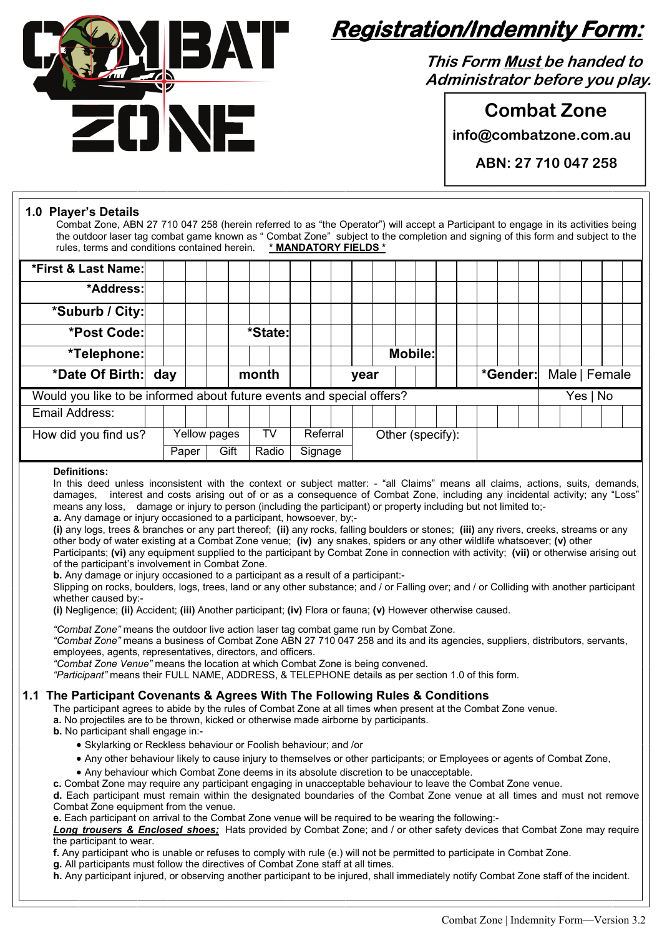

# **Registration/Indemnity Form:**

**This Form Must be handed to Administrator before you play.**

**Combat Zone** 

**info@combatzone.com.au** 

**ABN: 27 710 047 258** 

#### **1.0 Player's Details**

Combat Zone, ABN 27 710 047 258 (herein referred to as "the Operator") will accept a Participant to engage in its activities being the outdoor laser tag combat game known as " Combat Zone" subject to the completion and signing of this form and subject to the rules, terms and conditions contained herein. **\* MANDATORY FIELDS \***

| *First & Last Name:                                                   |  |               |              |  |       |       |         |          |  |                  |  |                |  |  |          |          |  |               |  |  |  |  |  |
|-----------------------------------------------------------------------|--|---------------|--------------|--|-------|-------|---------|----------|--|------------------|--|----------------|--|--|----------|----------|--|---------------|--|--|--|--|--|
| *Address:                                                             |  |               |              |  |       |       |         |          |  |                  |  |                |  |  |          |          |  |               |  |  |  |  |  |
| *Suburb / City:                                                       |  |               |              |  |       |       |         |          |  |                  |  |                |  |  |          |          |  |               |  |  |  |  |  |
| *Post Code:                                                           |  |               |              |  |       |       | *State: |          |  |                  |  |                |  |  |          |          |  |               |  |  |  |  |  |
| *Telephone:                                                           |  |               |              |  |       |       |         |          |  |                  |  | <b>Mobile:</b> |  |  |          |          |  |               |  |  |  |  |  |
| *Date Of Birth: day                                                   |  |               |              |  | month |       |         |          |  | year             |  |                |  |  |          | *Gender: |  | Male   Female |  |  |  |  |  |
| Would you like to be informed about future events and special offers? |  |               |              |  |       |       |         |          |  |                  |  |                |  |  | Yes   No |          |  |               |  |  |  |  |  |
| Email Address:                                                        |  |               |              |  |       |       |         |          |  |                  |  |                |  |  |          |          |  |               |  |  |  |  |  |
| How did you find us?                                                  |  |               | Yellow pages |  |       | TV    |         | Referral |  | Other (specify): |  |                |  |  |          |          |  |               |  |  |  |  |  |
|                                                                       |  | Gift<br>Paper |              |  |       | Radio | Signage |          |  |                  |  |                |  |  |          |          |  |               |  |  |  |  |  |

#### **Definitions:**

In this deed unless inconsistent with the context or subject matter: - "all Claims" means all claims, actions, suits, demands, damages, interest and costs arising out of or as a consequence of Combat Zone, including any incidental activity; any "Loss" means any loss, damage or injury to person (including the participant) or property including but not limited to;-

**a.** Any damage or injury occasioned to a participant, howsoever, by;-

**(i)** any logs, trees & branches or any part thereof; **(ii)** any rocks, falling boulders or stones; **(iii)** any rivers, creeks, streams or any other body of water existing at a Combat Zone venue; **(iv)** any snakes, spiders or any other wildlife whatsoever; **(v)** other Participants; **(vi)** any equipment supplied to the participant by Combat Zone in connection with activity; **(vii)** or otherwise arising out

of the participant's involvement in Combat Zone.

**b.** Any damage or injury occasioned to a participant as a result of a participant:-

Slipping on rocks, boulders, logs, trees, land or any other substance; and / or Falling over; and / or Colliding with another participant whether caused by:-

**(i)** Negligence; **(ii)** Accident; **(iii)** Another participant; **(iv)** Flora or fauna; **(v)** However otherwise caused.

*"Combat Zone"* means the outdoor live action laser tag combat game run by Combat Zone.

*"Combat Zone"* means a business of Combat Zone ABN 27 710 047 258 and its and its agencies, suppliers, distributors, servants, employees, agents, representatives, directors, and officers.

*"Combat Zone Venue"* means the location at which Combat Zone is being convened.

*"Participant"* means their FULL NAME, ADDRESS, & TELEPHONE details as per section 1.0 of this form.

#### **1.1 The Participant Covenants & Agrees With The Following Rules & Conditions**

The participant agrees to abide by the rules of Combat Zone at all times when present at the Combat Zone venue.

**a.** No projectiles are to be thrown, kicked or otherwise made airborne by participants.

**b.** No participant shall engage in:-

- Skylarking or Reckless behaviour or Foolish behaviour; and /or
- Any other behaviour likely to cause injury to themselves or other participants; or Employees or agents of Combat Zone,
- Any behaviour which Combat Zone deems in its absolute discretion to be unacceptable.

**c.** Combat Zone may require any participant engaging in unacceptable behaviour to leave the Combat Zone venue.

**d.** Each participant must remain within the designated boundaries of the Combat Zone venue at all times and must not remove Combat Zone equipment from the venue.

**e.** Each participant on arrival to the Combat Zone venue will be required to be wearing the following:-

*Long trousers & Enclosed shoes;* Hats provided by Combat Zone; and / or other safety devices that Combat Zone may require the participant to wear.

**f.** Any participant who is unable or refuses to comply with rule (e.) will not be permitted to participate in Combat Zone.

**g.** All participants must follow the directives of Combat Zone staff at all times.

**h.** Any participant injured, or observing another participant to be injured, shall immediately notify Combat Zone staff of the incident.